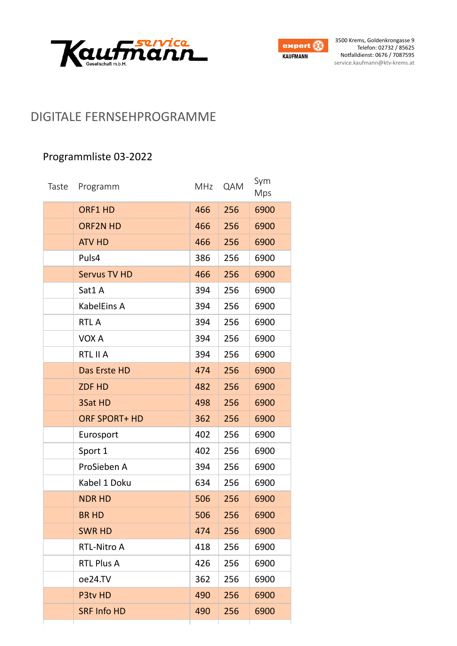



### DIGITALE FERNSEHPROGRAMME

### Programmliste 03-2022

| Taste | Programm             | MHz | QAM | Sym<br>Mps |
|-------|----------------------|-----|-----|------------|
|       | ORF1 HD              | 466 | 256 | 6900       |
|       | <b>ORF2N HD</b>      | 466 | 256 | 6900       |
|       | <b>ATV HD</b>        | 466 | 256 | 6900       |
|       | Puls4                | 386 | 256 | 6900       |
|       | <b>Servus TV HD</b>  | 466 | 256 | 6900       |
|       | Sat1 A               | 394 | 256 | 6900       |
|       | KabelEins A          | 394 | 256 | 6900       |
|       | <b>RTLA</b>          | 394 | 256 | 6900       |
|       | VOX A                | 394 | 256 | 6900       |
|       | RTL II A             | 394 | 256 | 6900       |
|       | Das Erste HD         | 474 | 256 | 6900       |
|       | <b>ZDF HD</b>        | 482 | 256 | 6900       |
|       | 3Sat HD              | 498 | 256 | 6900       |
|       | <b>ORF SPORT+ HD</b> | 362 | 256 | 6900       |
|       | Eurosport            | 402 | 256 | 6900       |
|       | Sport 1              | 402 | 256 | 6900       |
|       | ProSieben A          | 394 | 256 | 6900       |
|       | Kabel 1 Doku         | 634 | 256 | 6900       |
|       | <b>NDR HD</b>        | 506 | 256 | 6900       |
|       | <b>BR HD</b>         | 506 | 256 | 6900       |
|       | <b>SWR HD</b>        | 474 | 256 | 6900       |
|       | <b>RTL-Nitro A</b>   | 418 | 256 | 6900       |
|       | <b>RTL Plus A</b>    | 426 | 256 | 6900       |
|       | oe24.TV              | 362 | 256 | 6900       |
|       | P3tv HD              | 490 | 256 | 6900       |
|       | <b>SRF Info HD</b>   | 490 | 256 | 6900       |
|       |                      |     |     |            |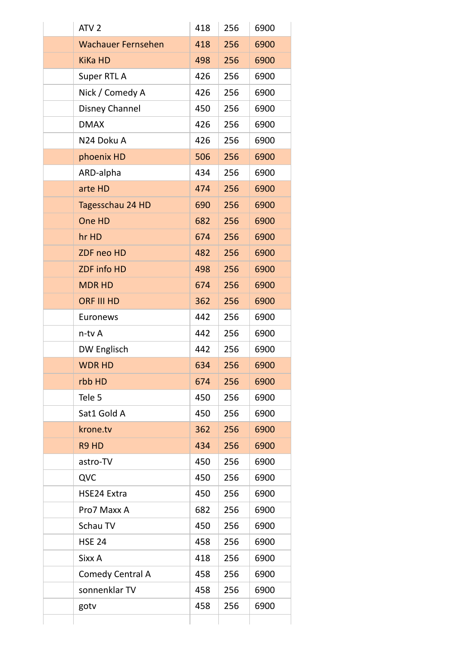| ATV <sub>2</sub>          | 418 | 256 | 6900 |
|---------------------------|-----|-----|------|
| <b>Wachauer Fernsehen</b> | 418 | 256 | 6900 |
| <b>KiKa HD</b>            | 498 | 256 | 6900 |
| Super RTL A               | 426 | 256 | 6900 |
| Nick / Comedy A           | 426 | 256 | 6900 |
| <b>Disney Channel</b>     | 450 | 256 | 6900 |
| <b>DMAX</b>               | 426 | 256 | 6900 |
| N24 Doku A                | 426 | 256 | 6900 |
| phoenix HD                | 506 | 256 | 6900 |
| ARD-alpha                 | 434 | 256 | 6900 |
| arte HD                   | 474 | 256 | 6900 |
| Tagesschau 24 HD          | 690 | 256 | 6900 |
| One HD                    | 682 | 256 | 6900 |
| hr HD                     | 674 | 256 | 6900 |
| ZDF neo HD                | 482 | 256 | 6900 |
| ZDF info HD               | 498 | 256 | 6900 |
| <b>MDR HD</b>             | 674 | 256 | 6900 |
| <b>ORF III HD</b>         | 362 | 256 | 6900 |
| Euronews                  | 442 | 256 | 6900 |
| n-tv A                    | 442 | 256 | 6900 |
| DW Englisch               | 442 | 256 | 6900 |
| <b>WDR HD</b>             | 634 | 256 | 6900 |
| rbb HD                    | 674 | 256 | 6900 |
| Tele 5                    | 450 | 256 | 6900 |
| Sat1 Gold A               | 450 | 256 | 6900 |
| krone.tv                  | 362 | 256 | 6900 |
| R9 HD                     | 434 | 256 | 6900 |
| astro-TV                  | 450 | 256 | 6900 |
| QVC                       | 450 | 256 | 6900 |
| HSE24 Extra               | 450 | 256 | 6900 |
| Pro7 Maxx A               | 682 | 256 | 6900 |
| Schau TV                  | 450 | 256 | 6900 |
| <b>HSE 24</b>             | 458 | 256 | 6900 |
| Sixx A                    | 418 | 256 | 6900 |
| <b>Comedy Central A</b>   | 458 | 256 | 6900 |
| sonnenklar TV             | 458 | 256 | 6900 |
| gotv                      | 458 | 256 | 6900 |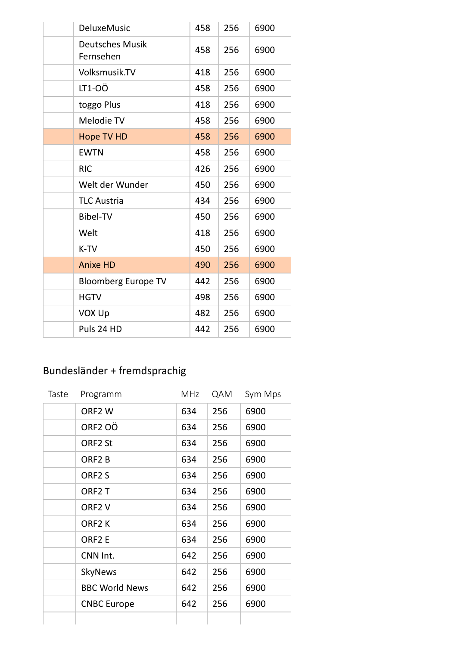| <b>DeluxeMusic</b>                  | 458 | 256 | 6900 |
|-------------------------------------|-----|-----|------|
| <b>Deutsches Musik</b><br>Fernsehen | 458 | 256 | 6900 |
| Volksmusik.TV                       | 418 | 256 | 6900 |
| LT1-0Ö                              | 458 | 256 | 6900 |
| toggo Plus                          | 418 | 256 | 6900 |
| Melodie TV                          | 458 | 256 | 6900 |
| <b>Hope TV HD</b>                   | 458 | 256 | 6900 |
| <b>EWTN</b>                         | 458 | 256 | 6900 |
| <b>RIC</b>                          | 426 | 256 | 6900 |
| Welt der Wunder                     | 450 | 256 | 6900 |
| <b>TLC Austria</b>                  | 434 | 256 | 6900 |
| <b>Bibel-TV</b>                     | 450 | 256 | 6900 |
| Welt                                | 418 | 256 | 6900 |
| K-TV                                | 450 | 256 | 6900 |
| <b>Anixe HD</b>                     | 490 | 256 | 6900 |
| <b>Bloomberg Europe TV</b>          | 442 | 256 | 6900 |
| <b>HGTV</b>                         | 498 | 256 | 6900 |
| <b>VOX Up</b>                       | 482 | 256 | 6900 |
| Puls 24 HD                          | 442 | 256 | 6900 |

## Bundesländer + fremdsprachig

| Taste | Programm              | MHz | QAM | Sym Mps |
|-------|-----------------------|-----|-----|---------|
|       | ORF <sub>2</sub> W    | 634 | 256 | 6900    |
|       | ORF <sub>2</sub> OÖ   | 634 | 256 | 6900    |
|       | ORF <sub>2</sub> St   | 634 | 256 | 6900    |
|       | ORF <sub>2</sub> B    | 634 | 256 | 6900    |
|       | ORF <sub>2</sub> S    | 634 | 256 | 6900    |
|       | ORF <sub>2</sub> T    | 634 | 256 | 6900    |
|       | ORF <sub>2</sub> V    | 634 | 256 | 6900    |
|       | ORF <sub>2</sub> K    | 634 | 256 | 6900    |
|       | ORF <sub>2</sub> E    | 634 | 256 | 6900    |
|       | CNN Int.              | 642 | 256 | 6900    |
|       | <b>SkyNews</b>        | 642 | 256 | 6900    |
|       | <b>BBC World News</b> | 642 | 256 | 6900    |
|       | <b>CNBC Europe</b>    | 642 | 256 | 6900    |
|       |                       |     |     |         |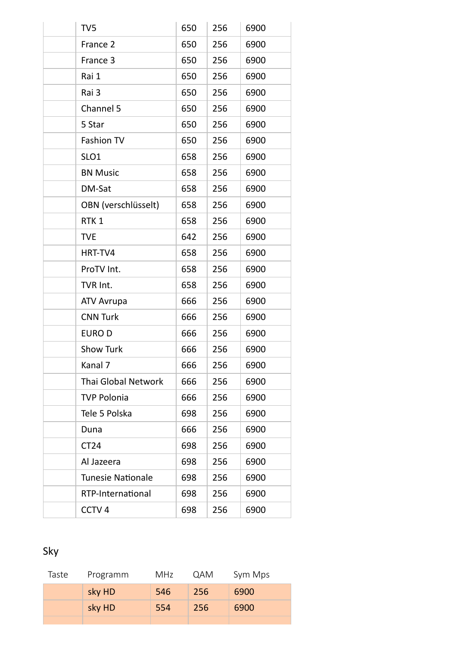| TV <sub>5</sub>            | 650 | 256 | 6900 |
|----------------------------|-----|-----|------|
| France 2                   | 650 | 256 | 6900 |
| France 3                   | 650 | 256 | 6900 |
| Rai 1                      | 650 | 256 | 6900 |
| Rai 3                      | 650 | 256 | 6900 |
| Channel 5                  | 650 | 256 | 6900 |
| 5 Star                     | 650 | 256 | 6900 |
| <b>Fashion TV</b>          | 650 | 256 | 6900 |
| SLO <sub>1</sub>           | 658 | 256 | 6900 |
| <b>BN Music</b>            | 658 | 256 | 6900 |
| DM-Sat                     | 658 | 256 | 6900 |
| OBN (verschlüsselt)        | 658 | 256 | 6900 |
| RTK <sub>1</sub>           | 658 | 256 | 6900 |
| <b>TVE</b>                 | 642 | 256 | 6900 |
| HRT-TV4                    | 658 | 256 | 6900 |
| ProTV Int.                 | 658 | 256 | 6900 |
| TVR Int.                   | 658 | 256 | 6900 |
| <b>ATV Avrupa</b>          | 666 | 256 | 6900 |
| <b>CNN Turk</b>            | 666 | 256 | 6900 |
| EURO D                     | 666 | 256 | 6900 |
| <b>Show Turk</b>           | 666 | 256 | 6900 |
| Kanal 7                    | 666 | 256 | 6900 |
| <b>Thai Global Network</b> | 666 | 256 | 6900 |
| <b>TVP Polonia</b>         | 666 | 256 | 6900 |
| Tele 5 Polska              | 698 | 256 | 6900 |
| Duna                       | 666 | 256 | 6900 |
| <b>CT24</b>                | 698 | 256 | 6900 |
| Al Jazeera                 | 698 | 256 | 6900 |
| <b>Tunesie Nationale</b>   | 698 | 256 | 6900 |
| RTP-International          | 698 | 256 | 6900 |
| CCTV <sub>4</sub>          | 698 | 256 | 6900 |

# Sky

| Taste | Programm | <b>MHz</b> | <b>QAM</b> | Sym Mps |
|-------|----------|------------|------------|---------|
|       | sky HD   | 546        | <b>256</b> | 6900    |
|       | sky HD   | 554        | 256        | 6900    |
|       |          |            |            |         |